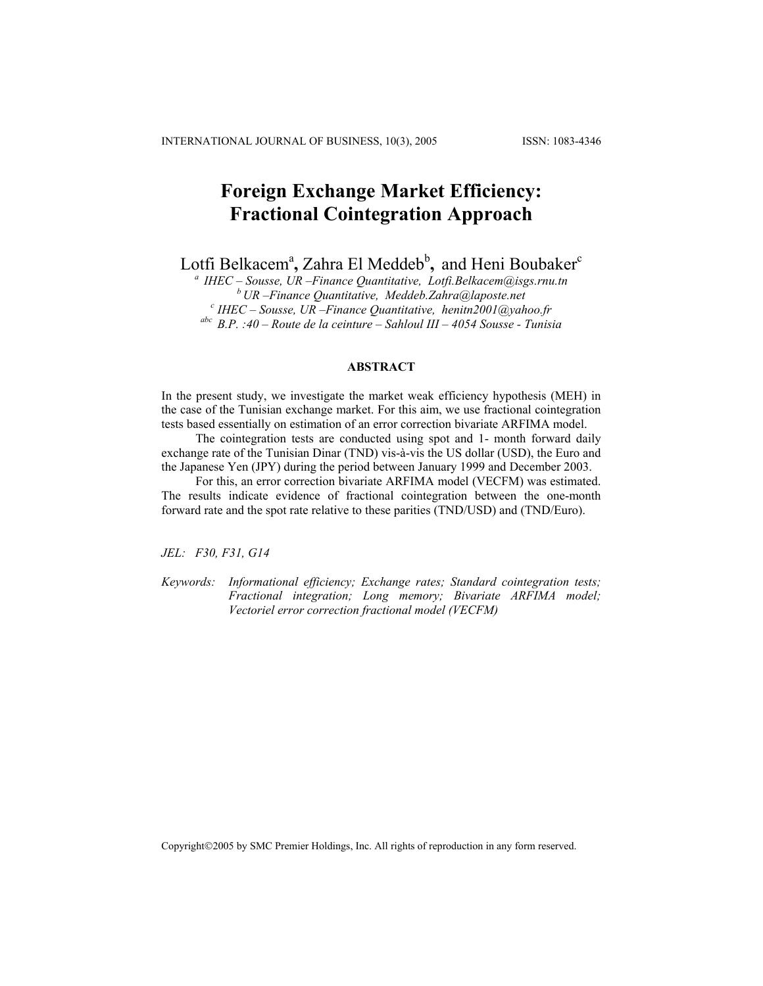# **Foreign Exchange Market Efficiency: Fractional Cointegration Approach**

Lotfi Belkacem<sup>a</sup>, Zahra El Meddeb<sup>b</sup>, and Heni Boubaker<sup>c</sup>

*a IHEC – Sousse, UR –Finance Quantitative, Lotfi.Belkacem@isgs.rnu.tn b UR –Finance Quantitative, Meddeb.Zahra@laposte.net c*  $\ell$  IHEC – Sousse, UR – Finance Quantitative, henitn<sup>2001</sup> @yahoo.fr *abc B.P. :40 – Route de la ceinture – Sahloul III – 4054 Sousse - Tunisia* 

### **ABSTRACT**

In the present study, we investigate the market weak efficiency hypothesis (MEH) in the case of the Tunisian exchange market. For this aim, we use fractional cointegration tests based essentially on estimation of an error correction bivariate ARFIMA model.

The cointegration tests are conducted using spot and 1- month forward daily exchange rate of the Tunisian Dinar (TND) vis-à-vis the US dollar (USD), the Euro and the Japanese Yen (JPY) during the period between January 1999 and December 2003.

For this, an error correction bivariate ARFIMA model (VECFM) was estimated. The results indicate evidence of fractional cointegration between the one-month forward rate and the spot rate relative to these parities (TND/USD) and (TND/Euro).

*JEL: F30, F31, G14* 

*Keywords: Informational efficiency; Exchange rates; Standard cointegration tests; Fractional integration; Long memory; Bivariate ARFIMA model; Vectoriel error correction fractional model (VECFM)*

Copyright2005 by SMC Premier Holdings, Inc. All rights of reproduction in any form reserved.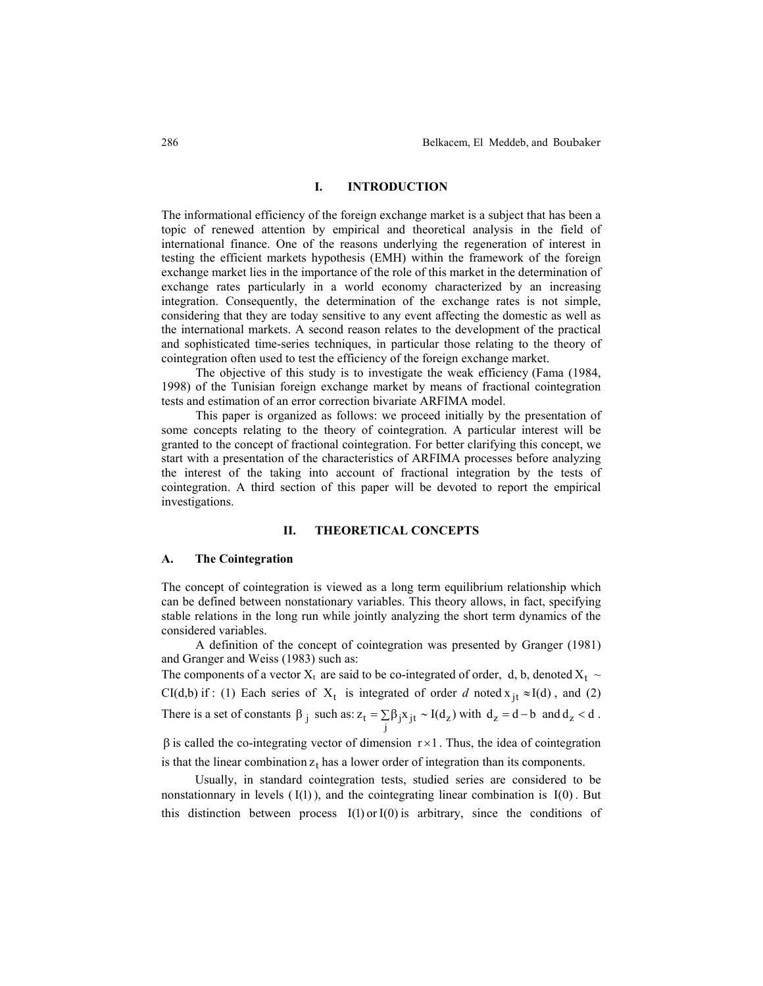# **I. INTRODUCTION**

The informational efficiency of the foreign exchange market is a subject that has been a topic of renewed attention by empirical and theoretical analysis in the field of international finance. One of the reasons underlying the regeneration of interest in testing the efficient markets hypothesis (EMH) within the framework of the foreign exchange market lies in the importance of the role of this market in the determination of exchange rates particularly in a world economy characterized by an increasing integration. Consequently, the determination of the exchange rates is not simple, considering that they are today sensitive to any event affecting the domestic as well as the international markets. A second reason relates to the development of the practical and sophisticated time-series techniques, in particular those relating to the theory of cointegration often used to test the efficiency of the foreign exchange market.

The objective of this study is to investigate the weak efficiency (Fama (1984, 1998) of the Tunisian foreign exchange market by means of fractional cointegration tests and estimation of an error correction bivariate ARFIMA model.

This paper is organized as follows: we proceed initially by the presentation of some concepts relating to the theory of cointegration. A particular interest will be granted to the concept of fractional cointegration. For better clarifying this concept, we start with a presentation of the characteristics of ARFIMA processes before analyzing the interest of the taking into account of fractional integration by the tests of cointegration. A third section of this paper will be devoted to report the empirical investigations.

# **II. THEORETICAL CONCEPTS**

#### **A. The Cointegration**

The concept of cointegration is viewed as a long term equilibrium relationship which can be defined between nonstationary variables. This theory allows, in fact, specifying stable relations in the long run while jointly analyzing the short term dynamics of the considered variables.

A definition of the concept of cointegration was presented by Granger (1981) and Granger and Weiss (1983) such as:

The components of a vector  $X_t$  are said to be co-integrated of order, d, b, denoted  $X_t \sim$ CI(d,b) if : (1) Each series of  $X_t$  is integrated of order *d* noted  $x_{jt} \approx I(d)$ , and (2) There is a set of constants  $\beta_j$  such as:  $z_t = \sum_j \beta_j x_{jt} \sim I(d_z)$  with  $d_z = d - b$  and  $d_z < d$ .

 $β$  is called the co-integrating vector of dimension  $r \times 1$ . Thus, the idea of cointegration is that the linear combination  $z_t$  has a lower order of integration than its components.

Usually, in standard cointegration tests, studied series are considered to be nonstationnary in levels  $(I(1))$ , and the cointegrating linear combination is  $I(0)$ . But this distinction between process  $I(1)$  or  $I(0)$  is arbitrary, since the conditions of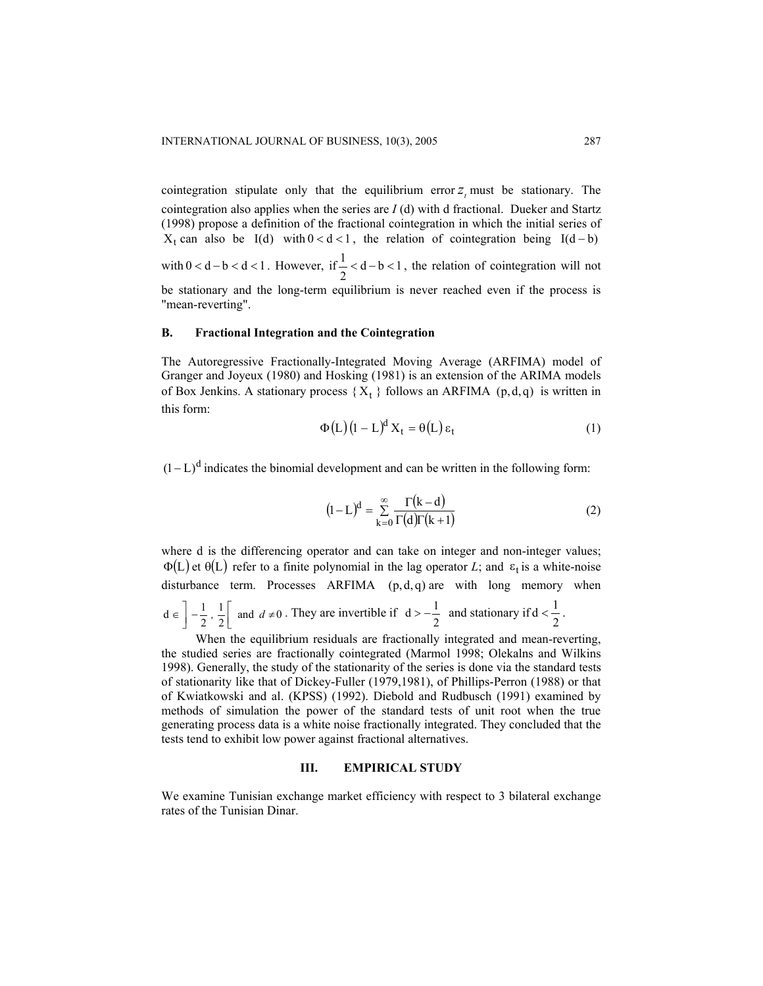cointegration stipulate only that the equilibrium error  $z_t$  must be stationary. The cointegration also applies when the series are *I* (d) with d fractional. Dueker and Startz (1998) propose a definition of the fractional cointegration in which the initial series of  $X_t$  can also be I(d) with  $0 < d < 1$ , the relation of cointegration being I(d – b) with  $0 < d-b < d < 1$ . However, if  $\frac{1}{2} < d-b < 1$  $\frac{1}{2}$  < d – b < 1, the relation of cointegration will not be stationary and the long-term equilibrium is never reached even if the process is "mean-reverting".

#### **B. Fractional Integration and the Cointegration**

of Box Jenkins. A stationary process  $\{X_t\}$  follows an ARFIMA  $(p, d, q)$  is written in The Autoregressive Fractionally-Integrated Moving Average (ARFIMA) model of Granger and Joyeux (1980) and Hosking (1981) is an extension of the ARIMA models this form:

$$
\Phi(L)(1 - L)^{d} X_{t} = \Theta(L) \varepsilon_{t}
$$
 (1)

 $(1 - L)^d$  indicates the binomial development and can be written in the following form:

$$
(1-L)^d = \sum_{k=0}^{\infty} \frac{\Gamma(k-d)}{\Gamma(d)\Gamma(k+1)}
$$
 (2)

 $\Phi(L)$  et  $\theta(L)$  refer to a finite polynomial in the lag operator *L*; and  $\varepsilon_t$  is a white-noise disturbance term. Processes ARFIMA  $(p, d, q)$  are with long memory when  $d \in \left] -\frac{1}{2}, \frac{1}{2} \right[$  and  $d \neq 0$ . They are invertible if  $d > -\frac{1}{2}$  and stationary if  $d < \frac{1}{2}$ . where d is the differencing operator and can take on integer and non-integer values;

When the equilibrium residuals are fractionally integrated and mean-reverting, the studied series are fractionally cointegrated (Marmol 1998; Olekalns and Wilkins 1998). Generally, the study of the stationarity of the series is done via the standard tests of stationarity like that of Dickey-Fuller (1979,1981), of Phillips-Perron (1988) or that of Kwiatkowski and al. (KPSS) (1992). Diebold and Rudbusch (1991) examined by methods of simulation the power of the standard tests of unit root when the true generating process data is a white noise fractionally integrated. They concluded that the tests tend to exhibit low power against fractional alternatives.

#### **III. EMPIRICAL STUDY**

We examine Tunisian exchange market efficiency with respect to 3 bilateral exchange rates of the Tunisian Dinar.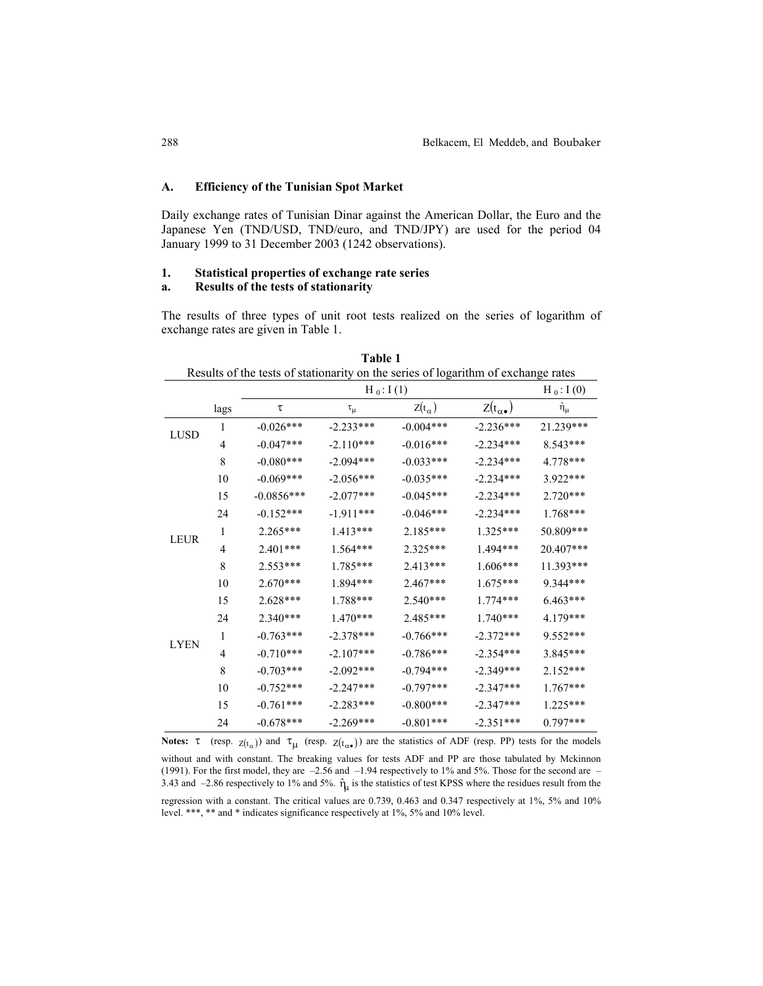#### **A. Efficiency of the Tunisian Spot Market**

Daily exchange rates of Tunisian Dinar against the American Dollar, the Euro and the Japanese Yen (TND/USD, TND/euro, and TND/JPY) are used for the period 04 January 1999 to 31 December 2003 (1242 observations).

#### **1. Statistical properties of exchange rate series**

# **a. Results of the tests of stationarity**

The results of three types of unit root tests realized on the series of logarithm of exchange rates are given in Table 1.

|             | Results of the tests of stationarity on the series of logarithm of exchange rates |              |              |               |                        |                    |  |
|-------------|-----------------------------------------------------------------------------------|--------------|--------------|---------------|------------------------|--------------------|--|
|             |                                                                                   | $H_0$ : I(1) |              |               |                        | $H_0$ : I (0)      |  |
|             | lags                                                                              | τ            | $\tau_{\mu}$ | $Z(t_\alpha)$ | $Z(t_{\alpha\bullet})$ | $\hat{\eta}_{\mu}$ |  |
| <b>LUSD</b> | 1                                                                                 | $-0.026***$  | $-2.233***$  | $-0.004***$   | $-2.236***$            | 21.239***          |  |
|             | 4                                                                                 | $-0.047***$  | $-2.110***$  | $-0.016***$   | $-2.234***$            | $8.543***$         |  |
|             | 8                                                                                 | $-0.080***$  | $-2.094***$  | $-0.033***$   | $-2.234***$            | 4.778***           |  |
|             | 10                                                                                | $-0.069***$  | $-2.056***$  | $-0.035***$   | $-2.234***$            | 3.922***           |  |
|             | 15                                                                                | $-0.0856***$ | $-2.077***$  | $-0.045***$   | $-2.234***$            | 2.720***           |  |
|             | 24                                                                                | $-0.152***$  | $-1.911***$  | $-0.046***$   | $-2.234***$            | $1.768***$         |  |
| LEUR        | 1                                                                                 | $2.265***$   | 1.413***     | 2.185***      | $1.325***$             | 50.809***          |  |
|             | 4                                                                                 | $2.401***$   | 1.564***     | 2.325***      | 1.494***               | 20.407***          |  |
|             | 8                                                                                 | $2.553***$   | $1.785***$   | $2.413***$    | $1.606***$             | 11.393***          |  |
|             | 10                                                                                | $2.670***$   | 1.894***     | 2.467***      | $1.675***$             | 9.344***           |  |
|             | 15                                                                                | $2.628***$   | 1.788***     | $2.540***$    | $1.774***$             | $6.463***$         |  |
|             | 24                                                                                | $2.340***$   | $1.470***$   | 2.485***      | $1.740***$             | 4.179***           |  |
| <b>LYEN</b> | 1                                                                                 | $-0.763***$  | $-2.378***$  | $-0.766***$   | $-2.372***$            | 9.552***           |  |
|             | 4                                                                                 | $-0.710***$  | $-2.107***$  | $-0.786***$   | $-2.354***$            | 3.845***           |  |
|             | 8                                                                                 | $-0.703***$  | $-2.092***$  | $-0.794***$   | $-2.349***$            | 2.152***           |  |
|             | 10                                                                                | $-0.752***$  | $-2.247***$  | $-0.797***$   | $-2.347***$            | $1.767***$         |  |
|             | 15                                                                                | $-0.761***$  | $-2.283***$  | $-0.800***$   | $-2.347***$            | $1.225***$         |  |
|             | 24                                                                                | $-0.678***$  | $-2.269***$  | $-0.801***$   | $-2.351***$            | 0.797***           |  |

| Table 1                                                                           |  |
|-----------------------------------------------------------------------------------|--|
| Results of the tests of stationarity on the series of logarithm of exchange rates |  |

**Notes:**  $\tau$  (resp.  $z(t_{\alpha})$ ) and  $\tau_{\mu}$  (resp.  $z(t_{\alpha \bullet})$ ) are the statistics of ADF (resp. PP) tests for the models

3.43 and  $-2.86$  respectively to 1% and 5%.  $\hat{\eta}_t$  is the statistics of test KPSS where the residues result from the without and with constant. The breaking values for tests ADF and PP are those tabulated by Mckinnon (1991). For the first model, they are –2.56 and –1.94 respectively to 1% and 5%. Those for the second are –

regression with a constant. The critical values are 0.739, 0.463 and 0.347 respectively at 1%, 5% and 10% level. \*\*\*, \*\* and \* indicates significance respectively at 1%, 5% and 10% level.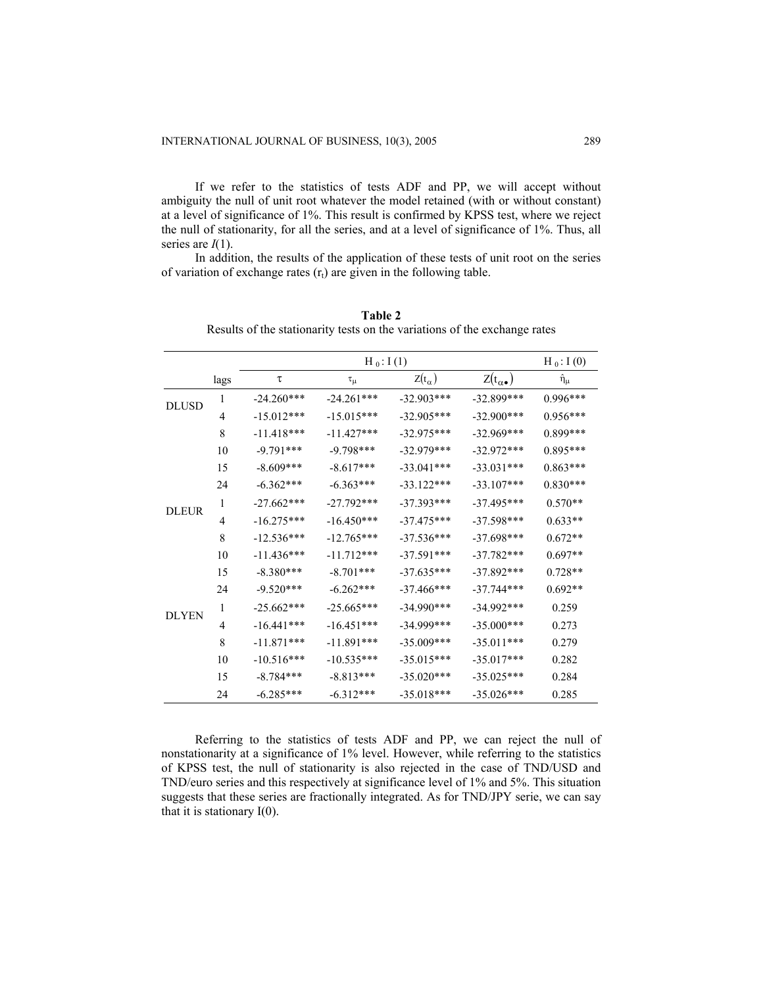If we refer to the statistics of tests ADF and PP, we will accept without ambiguity the null of unit root whatever the model retained (with or without constant) at a level of significance of 1%. This result is confirmed by KPSS test, where we reject the null of stationarity, for all the series, and at a level of significance of 1%. Thus, all series are  $I(1)$ .

In addition, the results of the application of these tests of unit root on the series of variation of exchange rates  $(r_t)$  are given in the following table.

|              |                |              | $H_0$ : I(1) |                 |                        | $H_0$ : I(0)     |
|--------------|----------------|--------------|--------------|-----------------|------------------------|------------------|
|              | lags           | τ            | $\tau_{\mu}$ | $Z(t_{\alpha})$ | $Z(t_{\alpha\bullet})$ | $\hat{\eta}_\mu$ |
| <b>DLUSD</b> | 1              | $-24.260***$ | $-24.261***$ | $-32.903***$    | $-32.899***$           | $0.996***$       |
|              | 4              | $-15.012***$ | $-15.015***$ | $-32.905***$    | $-32.900***$           | $0.956***$       |
|              | 8              | $-11.418***$ | $-11.427***$ | $-32.975***$    | $-32.969***$           | $0.899***$       |
|              | 10             | $-9.791***$  | $-9.798***$  | $-32.979***$    | $-32.972***$           | $0.895***$       |
|              | 15             | $-8.609***$  | $-8.617***$  | $-33.041***$    | $-33.031***$           | $0.863***$       |
|              | 24             | $-6.362***$  | $-6.363***$  | $-33.122***$    | $-33.107***$           | $0.830***$       |
| <b>DLEUR</b> | $\mathbf{1}$   | $-27.662***$ | $-27.792***$ | $-37.393***$    | $-37.495***$           | $0.570**$        |
|              | $\overline{4}$ | $-16.275***$ | $-16.450***$ | $-37.475***$    | $-37.598***$           | $0.633**$        |
|              | 8              | $-12.536***$ | $-12.765***$ | $-37.536***$    | $-37.698***$           | $0.672**$        |
|              | 10             | $-11.436***$ | $-11.712***$ | $-37.591***$    | $-37.782***$           | $0.697**$        |
|              | 15             | $-8.380***$  | $-8.701***$  | $-37.635***$    | $-37.892***$           | $0.728**$        |
|              | 24             | $-9.520***$  | $-6.262***$  | $-37.466***$    | $-37.744***$           | $0.692**$        |
| <b>DLYEN</b> | 1              | $-25.662***$ | $-25.665***$ | $-34.990***$    | $-34.992***$           | 0.259            |
|              | $\overline{4}$ | $-16.441***$ | $-16.451***$ | $-34.999***$    | $-35.000***$           | 0.273            |
|              | 8              | $-11.871***$ | $-11.891***$ | $-35.009***$    | $-35.011***$           | 0.279            |
|              | 10             | $-10.516***$ | $-10.535***$ | $-35.015***$    | $-35.017***$           | 0.282            |
|              | 15             | $-8.784***$  | $-8.813***$  | $-35.020***$    | $-35.025***$           | 0.284            |
|              | 24             | $-6.285***$  | $-6.312***$  | $-35.018***$    | $-35.026***$           | 0.285            |

**Table 2** Results of the stationarity tests on the variations of the exchange rates

Referring to the statistics of tests ADF and PP, we can reject the null of nonstationarity at a significance of 1% level. However, while referring to the statistics of KPSS test, the null of stationarity is also rejected in the case of TND/USD and TND/euro series and this respectively at significance level of 1% and 5%. This situation suggests that these series are fractionally integrated. As for TND/JPY serie, we can say that it is stationary I(0).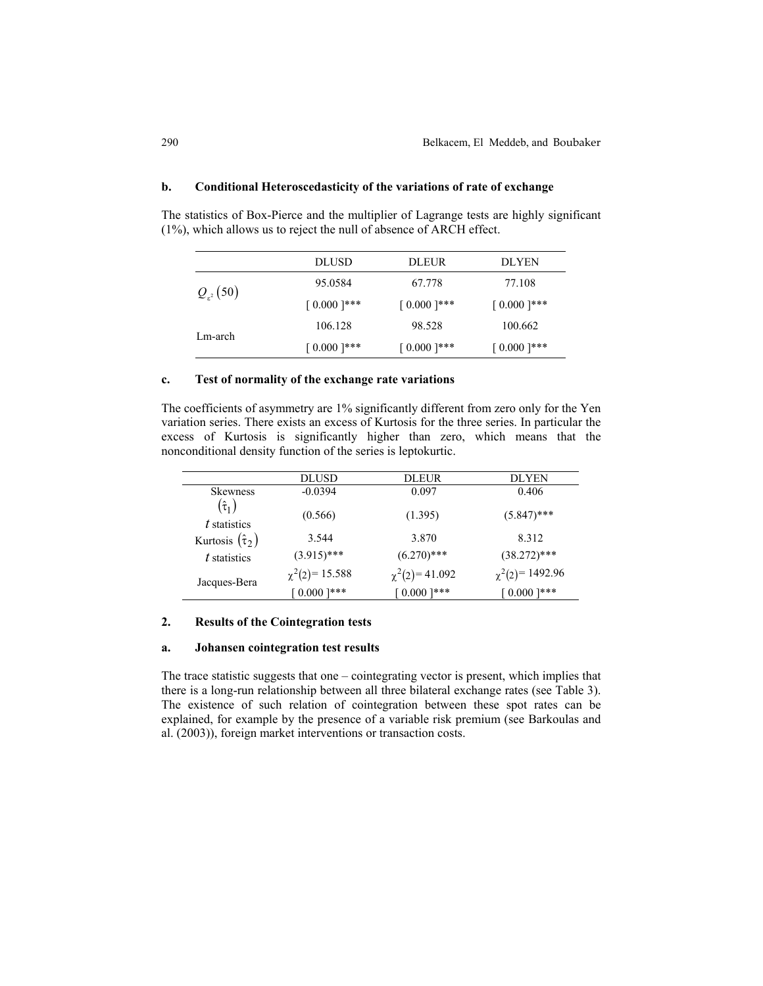|               | <b>DLUSD</b>  | <b>DLEUR</b>  | <b>DLYEN</b>  |
|---------------|---------------|---------------|---------------|
| $Q_{e^2}(50)$ | 95.0584       | 67.778        | 77.108        |
|               | $[0.000]$ *** | $[0.000]$ *** | $[0.000]$ *** |
| Lm-arch       | 106.128       | 98.528        | 100.662       |
|               | $[0.000]$ *** | $[0.000]$ *** | $[0.000]$ *** |

# **b. Conditional Heteroscedasticity of the variations of rate of exchange**

The statistics of Box-Pierce and the multiplier of Lagrange tests are highly significant (1%), which allows us to reject the null of absence of ARCH effect.

#### **c. Test of normality of the exchange rate variations**

The coefficients of asymmetry are 1% significantly different from zero only for the Yen variation series. There exists an excess of Kurtosis for the three series. In particular the excess of Kurtosis is significantly higher than zero, which means that the nonconditional density function of the series is leptokurtic.

|                                  | <b>DLUSD</b>            | <b>DLEUR</b>         | <b>DLYEN</b>          |
|----------------------------------|-------------------------|----------------------|-----------------------|
| <b>Skewness</b>                  | $-0.0394$               | 0.097                | 0.406                 |
| $(\hat{\tau}_1)$<br>t statistics | (0.566)                 | (1.395)              | $(5.847)$ ***         |
| Kurtosis $(\hat{\tau}_2)$        | 3.544                   | 3.870                | 8.312                 |
| t statistics                     | $(3.915)$ ***           | $(6.270)$ ***        | $(38.272)$ ***        |
| Jacques-Bera                     | $\chi^2(2)$ = 15.588    | $\chi^2(2)$ = 41.092 | $\chi^2(2)$ = 1492.96 |
|                                  | $(0.000$ <sup>***</sup> | $0.000$ ]***         | $(0.000)***$          |

#### **2. Results of the Cointegration tests**

#### **a. Johansen cointegration test results**

The trace statistic suggests that one – cointegrating vector is present, which implies that there is a long-run relationship between all three bilateral exchange rates (see Table 3). The existence of such relation of cointegration between these spot rates can be explained, for example by the presence of a variable risk premium (see Barkoulas and al. (2003)), foreign market interventions or transaction costs.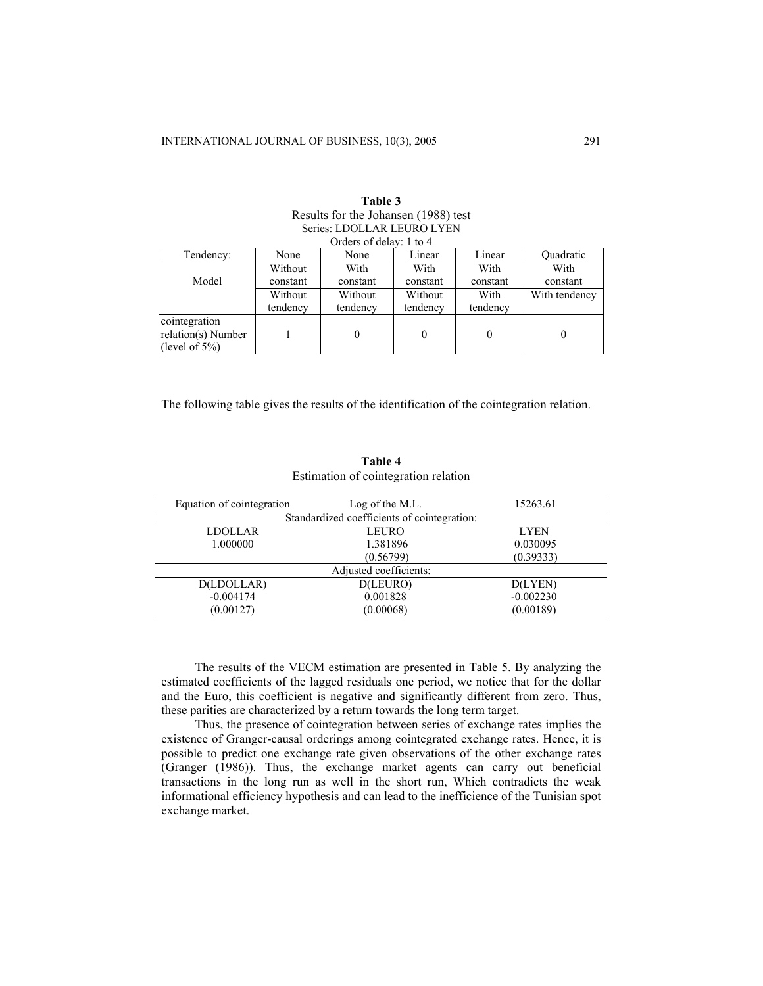| Orders of delay: 1 to 4 |          |          |          |          |               |  |
|-------------------------|----------|----------|----------|----------|---------------|--|
| Tendency:               | None     | None     | Linear   | Linear   | Ouadratic     |  |
|                         | Without  | With     | With     | With     | With          |  |
| Model                   | constant | constant | constant | constant | constant      |  |
|                         | Without  | Without  | Without  | With     | With tendency |  |
|                         | tendency | tendency | tendency | tendency |               |  |
| cointegration           |          |          |          |          |               |  |
| $relation(s)$ Number    |          | 0        |          | 0        | $\theta$      |  |
| (level of $5\%$ )       |          |          |          |          |               |  |

#### **Table 3** Results for the Johansen (1988) test Series: LDOLLAR LEURO LYEN Orders of delay: 1 to 4

The following table gives the results of the identification of the cointegration relation.

| Equation of cointegration | Log of the M.L.                             | 15263.61    |
|---------------------------|---------------------------------------------|-------------|
|                           | Standardized coefficients of cointegration: |             |
| <b>LDOLLAR</b>            | <b>LEURO</b>                                | <b>LYEN</b> |
| 1.000000                  | 1.381896                                    | 0.030095    |
|                           | (0.56799)                                   | (0.39333)   |
|                           | Adjusted coefficients:                      |             |
| D(LDOLLAR)                | D(LEURO)                                    | D(LYEN)     |
| $-0.004174$               | 0.001828                                    | $-0.002230$ |
| (0.00127)                 | (0.00068)                                   | (0.00189)   |

# **Table 4** Estimation of cointegration relation

The results of the VECM estimation are presented in Table 5. By analyzing the estimated coefficients of the lagged residuals one period, we notice that for the dollar and the Euro, this coefficient is negative and significantly different from zero. Thus, these parities are characterized by a return towards the long term target.

Thus, the presence of cointegration between series of exchange rates implies the existence of Granger-causal orderings among cointegrated exchange rates. Hence, it is possible to predict one exchange rate given observations of the other exchange rates (Granger (1986)). Thus, the exchange market agents can carry out beneficial transactions in the long run as well in the short run, Which contradicts the weak informational efficiency hypothesis and can lead to the inefficience of the Tunisian spot exchange market.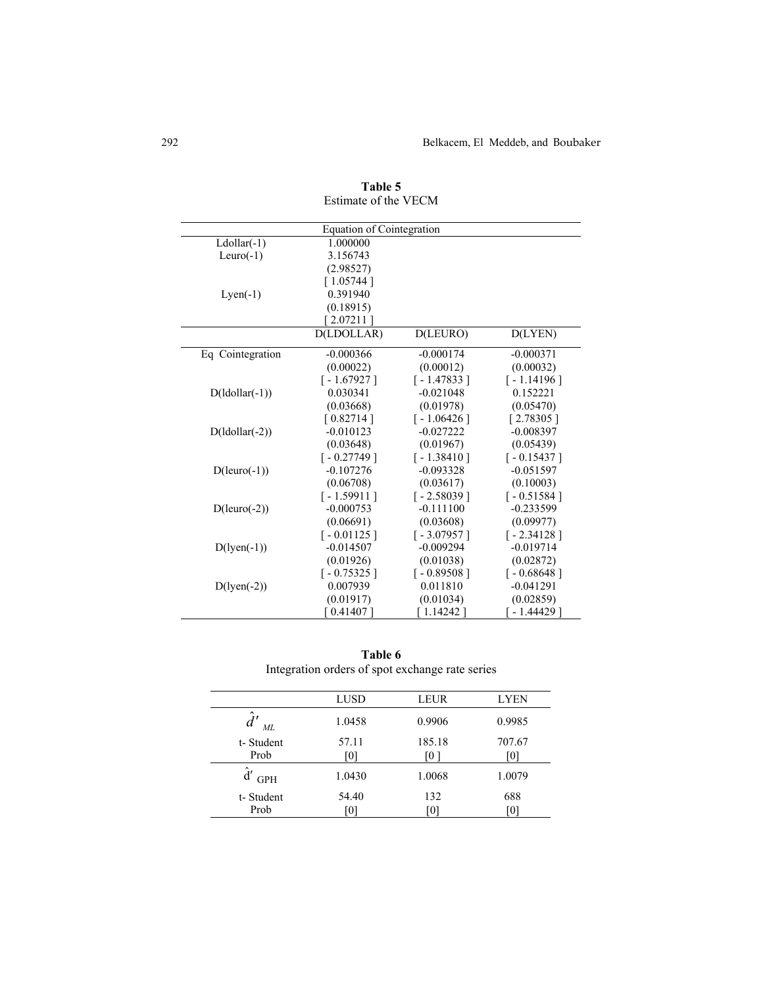|                  | <b>Equation of Cointegration</b> |              |               |
|------------------|----------------------------------|--------------|---------------|
| $Ldollar(-1)$    | 1.000000                         |              |               |
| $Leuro(-1)$      | 3.156743                         |              |               |
|                  | (2.98527)                        |              |               |
|                  | [1.05744]                        |              |               |
| $Lyen(-1)$       | 0.391940                         |              |               |
|                  | (0.18915)                        |              |               |
|                  | $2.07211$ ]                      |              |               |
|                  | D(LDOLLAR)                       | D(LEURO)     | D(LYEN)       |
| Eq Cointegration | $-0.000366$                      | $-0.000174$  | $-0.000371$   |
|                  | (0.00022)                        | (0.00012)    | (0.00032)     |
|                  | $[-1.67927]$                     | $[-1.47833]$ | $[-1.14196]$  |
| $D(1dollar(-1))$ | 0.030341                         | $-0.021048$  | 0.152221      |
|                  | (0.03668)                        | (0.01978)    | (0.05470)     |
|                  | [0.82714]                        | $[-1.06426]$ | [2.78305]     |
| $D(Idollar(-2))$ | $-0.010123$                      | $-0.027222$  | $-0.008397$   |
|                  | (0.03648)                        | (0.01967)    | (0.05439)     |
|                  | $[-0.27749]$                     | $[-1.38410]$ | $[-0.15437]$  |
| $D(leuro(-1))$   | $-0.107276$                      | $-0.093328$  | $-0.051597$   |
|                  | (0.06708)                        | (0.03617)    | (0.10003)     |
|                  | $[-1.59911]$                     | $[-2.58039]$ | $[-0.51584]$  |
| $D(leuro(-2))$   | $-0.000753$                      | $-0.111100$  | $-0.233599$   |
|                  | (0.06691)                        | (0.03608)    | (0.09977)     |
|                  | $[-0.01125]$                     | $[-3.07957]$ | $[-2.34128]$  |
| $D(lyen(-1))$    | $-0.014507$                      | $-0.009294$  | $-0.019714$   |
|                  | (0.01926)                        | (0.01038)    | (0.02872)     |
|                  | $[-0.75325]$                     | $[-0.89508]$ | $[-0.68648]$  |
| $D(lyen(-2))$    | 0.007939                         | 0.011810     | $-0.041291$   |
|                  | (0.01917)                        | (0.01034)    | (0.02859)     |
|                  | [0.41407]                        | [1.14242]    | [ - 1.44429 ] |

**Table 5** Estimate of the VECM

**Table 6** Integration orders of spot exchange rate series

|                             | <b>LUSD</b>  | <b>LEUR</b>   | <b>LYEN</b>  |
|-----------------------------|--------------|---------------|--------------|
| $\ddot{\phantom{0}}$<br>MI. | 1.0458       | 0.9906        | 0.9985       |
| t-Student<br>Prob           | 57.11<br>[0] | 185.18<br>[O] | 707.67<br>ГO |
| $\hat{d}'$<br><b>GPH</b>    | 1.0430       | 1.0068        | 1.0079       |
| t-Student<br>Prob           | 54.40<br>[0] | 132<br>[0]    | 688          |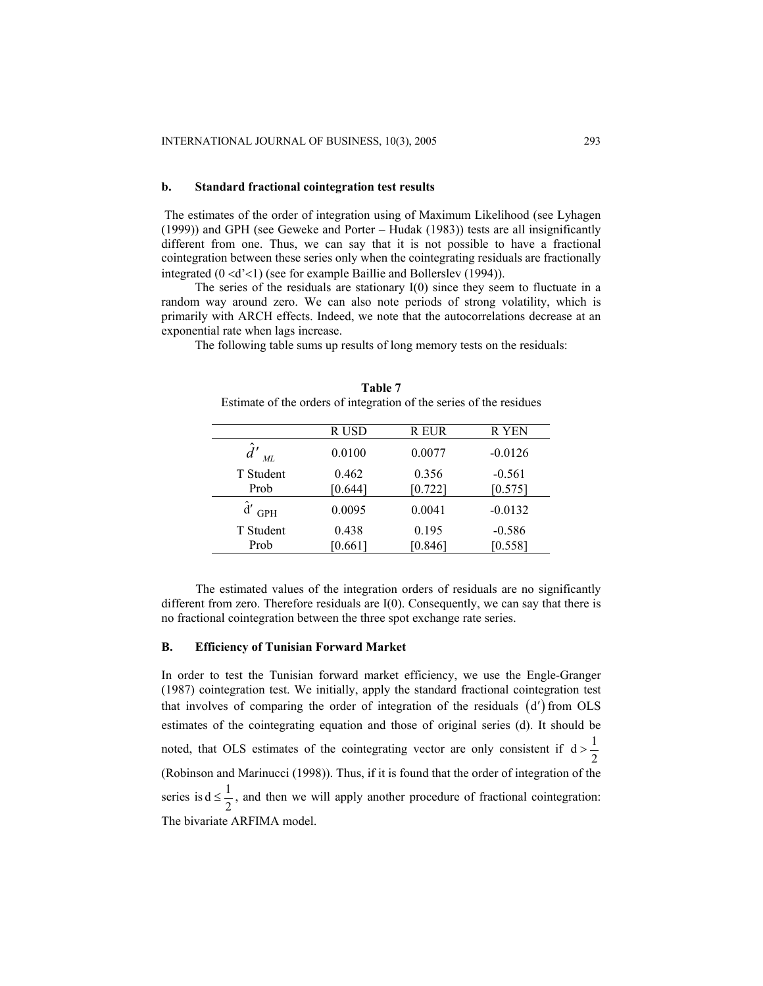#### **b. Standard fractional cointegration test results**

The estimates of the order of integration using of Maximum Likelihood (see Lyhagen (1999)) and GPH (see Geweke and Porter – Hudak (1983)) tests are all insignificantly different from one. Thus, we can say that it is not possible to have a fractional cointegration between these series only when the cointegrating residuals are fractionally integrated (0 <d'<1) (see for example Baillie and Bollerslev (1994)).

The series of the residuals are stationary  $I(0)$  since they seem to fluctuate in a random way around zero. We can also note periods of strong volatility, which is primarily with ARCH effects. Indeed, we note that the autocorrelations decrease at an exponential rate when lags increase.

The following table sums up results of long memory tests on the residuals:

| R USD   | R EUR   | R YEN     |
|---------|---------|-----------|
| 0.0100  | 0.0077  | $-0.0126$ |
| 0.462   | 0.356   | $-0.561$  |
| [0.644] | [0.722] | [0.575]   |
| 0.0095  | 0.0041  | $-0.0132$ |
| 0.438   | 0.195   | $-0.586$  |
| [0.661] | [0.846] | [0.558]   |
|         |         |           |

**Table 7** Estimate of the orders of integration of the series of the residues

The estimated values of the integration orders of residuals are no significantly different from zero. Therefore residuals are I(0). Consequently, we can say that there is no fractional cointegration between the three spot exchange rate series.

# **B. Efficiency of Tunisian Forward Market**

In order to test the Tunisian forward market efficiency, we use the Engle-Granger (1987) cointegration test. We initially, apply the standard fractional cointegration test that involves of comparing the order of integration of the residuals (d′) from OLS estimates of the cointegrating equation and those of original series (d). It should be noted, that OLS estimates of the cointegrating vector are only consistent if  $d > \frac{1}{2}$ (Robinson and Marinucci (1998)). Thus, if it is found that the order of integration of the series is  $d \leq \frac{1}{2}$ , and then we will apply another procedure of fractional cointegration: The bivariate ARFIMA model.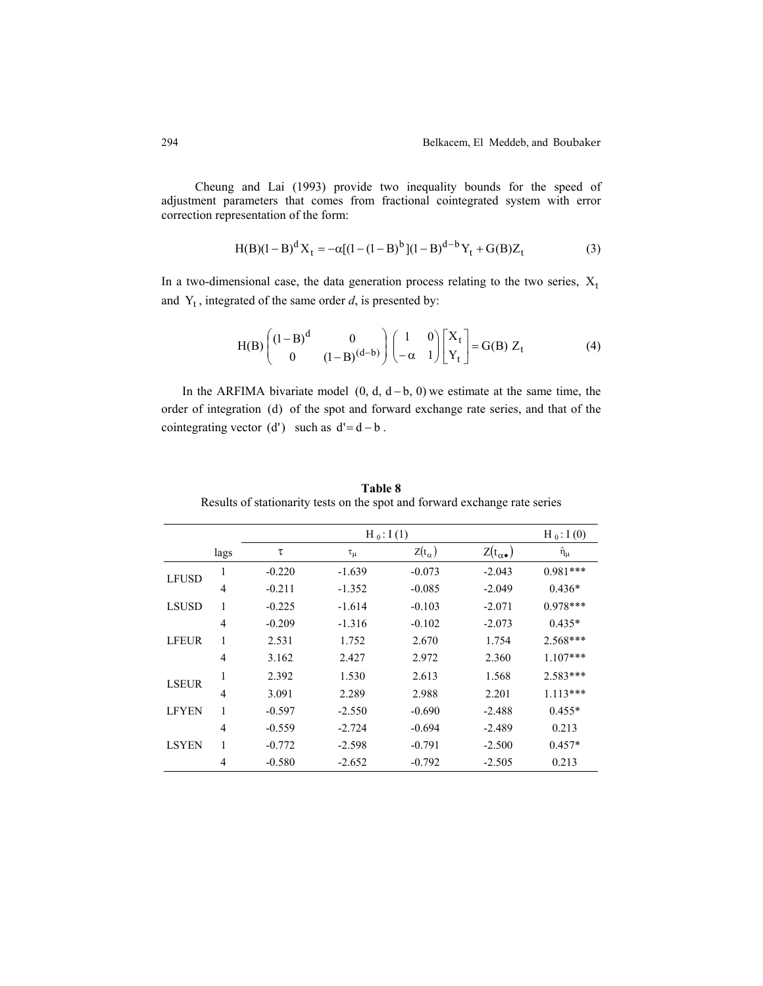Cheung and Lai (1993) provide two inequality bounds for the speed of adjustment parameters that comes from fractional cointegrated system with error correction representation of the form:

$$
H(B)(1-B)^{d} X_t = -\alpha [(1-(1-B)^{b}](1-B)^{d-b} Y_t + G(B)Z_t
$$
\n(3)

In a two-dimensional case, the data generation process relating to the two series,  $X_t$ and  $Y_t$ , integrated of the same order *d*, is presented by:

$$
H(B)\begin{pmatrix} (1-B)^d & 0\\ 0 & (1-B)^{(d-b)} \end{pmatrix} \begin{pmatrix} 1 & 0\\ -\alpha & 1 \end{pmatrix} \begin{bmatrix} X_t\\ Y_t \end{bmatrix} = G(B) Z_t
$$
 (4)

In the ARFIMA bivariate model  $(0, d, d - b, 0)$  we estimate at the same time, the order of integration (d) of the spot and forward exchange rate series, and that of the cointegrating vector  $(d')$  such as  $d' = d - b$ .

|              |                | $H_0$ : I(1) |              |               |                        | $H_0$ : I (0)      |
|--------------|----------------|--------------|--------------|---------------|------------------------|--------------------|
|              | lags           | τ            |              | $Z(t_\alpha)$ | $Z(t_{\alpha\bullet})$ | $\hat{\eta}_{\mu}$ |
|              |                |              | $\tau_{\mu}$ |               |                        |                    |
| <b>LFUSD</b> | 1              | $-0.220$     | $-1.639$     | $-0.073$      | $-2.043$               | $0.981***$         |
|              | 4              | $-0.211$     | $-1.352$     | $-0.085$      | $-2.049$               | $0.436*$           |
| <b>LSUSD</b> | 1              | $-0.225$     | $-1.614$     | $-0.103$      | $-2.071$               | $0.978***$         |
|              | 4              | $-0.209$     | $-1.316$     | $-0.102$      | $-2.073$               | $0.435*$           |
| <b>LFEUR</b> | 1              | 2.531        | 1.752        | 2.670         | 1.754                  | $2.568***$         |
|              | 4              | 3.162        | 2.427        | 2.972         | 2.360                  | $1.107***$         |
| <b>LSEUR</b> | 1              | 2.392        | 1.530        | 2.613         | 1.568                  | 2.583***           |
|              | 4              | 3.091        | 2.289        | 2.988         | 2.201                  | $1.113***$         |
| <b>LFYEN</b> | 1              | $-0.597$     | $-2.550$     | $-0.690$      | $-2.488$               | $0.455*$           |
|              | $\overline{4}$ | $-0.559$     | $-2.724$     | $-0.694$      | $-2.489$               | 0.213              |
| <b>LSYEN</b> | 1              | $-0.772$     | $-2.598$     | $-0.791$      | $-2.500$               | $0.457*$           |
|              | 4              | $-0.580$     | $-2.652$     | $-0.792$      | $-2.505$               | 0.213              |

**Table 8** Results of stationarity tests on the spot and forward exchange rate series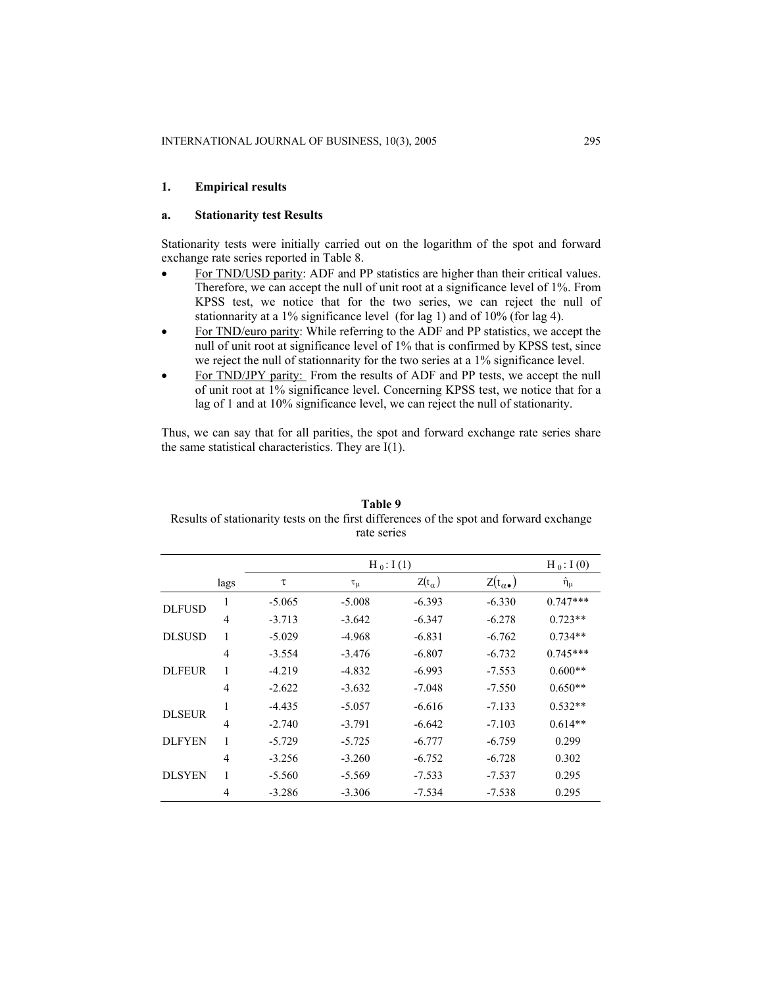# **1. Empirical results**

#### **a. Stationarity test Results**

Stationarity tests were initially carried out on the logarithm of the spot and forward exchange rate series reported in Table 8.

- For TND/USD parity: ADF and PP statistics are higher than their critical values. Therefore, we can accept the null of unit root at a significance level of 1%. From KPSS test, we notice that for the two series, we can reject the null of stationnarity at a 1% significance level (for lag 1) and of 10% (for lag 4).
- For TND/euro parity: While referring to the ADF and PP statistics, we accept the null of unit root at significance level of 1% that is confirmed by KPSS test, since we reject the null of stationnarity for the two series at a 1% significance level.
- For TND/JPY parity: From the results of ADF and PP tests, we accept the null of unit root at 1% significance level. Concerning KPSS test, we notice that for a lag of 1 and at 10% significance level, we can reject the null of stationarity.

Thus, we can say that for all parities, the spot and forward exchange rate series share the same statistical characteristics. They are I(1).

|               |                |          | $H_0$ : I(1) |                 |                        | $H_0$ : I (0)      |
|---------------|----------------|----------|--------------|-----------------|------------------------|--------------------|
|               | lags           | τ        | $\tau_{\mu}$ | $Z(t_{\alpha})$ | $Z(t_{\alpha\bullet})$ | $\hat{\eta}_{\mu}$ |
| <b>DLFUSD</b> | 1              | $-5.065$ | $-5.008$     | $-6.393$        | $-6.330$               | $0.747***$         |
|               | $\overline{4}$ | $-3.713$ | $-3.642$     | $-6.347$        | $-6.278$               | $0.723**$          |
| <b>DLSUSD</b> | 1              | $-5.029$ | $-4.968$     | $-6.831$        | $-6.762$               | $0.734**$          |
|               | $\overline{4}$ | $-3.554$ | $-3.476$     | $-6.807$        | $-6.732$               | $0.745***$         |
| <b>DLFEUR</b> | 1              | $-4.219$ | $-4.832$     | $-6.993$        | $-7.553$               | $0.600**$          |
|               | $\overline{4}$ | $-2.622$ | $-3.632$     | $-7.048$        | $-7.550$               | $0.650**$          |
|               | 1              | $-4.435$ | $-5.057$     | $-6.616$        | $-7.133$               | $0.532**$          |
| <b>DLSEUR</b> | $\overline{4}$ | $-2.740$ | $-3.791$     | $-6.642$        | $-7.103$               | $0.614**$          |
| <b>DLFYEN</b> | 1              | $-5.729$ | $-5.725$     | $-6.777$        | $-6.759$               | 0.299              |
|               | $\overline{4}$ | $-3.256$ | $-3.260$     | $-6.752$        | $-6.728$               | 0.302              |
| <b>DLSYEN</b> | 1              | $-5.560$ | $-5.569$     | $-7.533$        | $-7.537$               | 0.295              |
|               | $\overline{4}$ | $-3.286$ | $-3.306$     | $-7.534$        | $-7.538$               | 0.295              |

**Table 9** Results of stationarity tests on the first differences of the spot and forward exchange rate series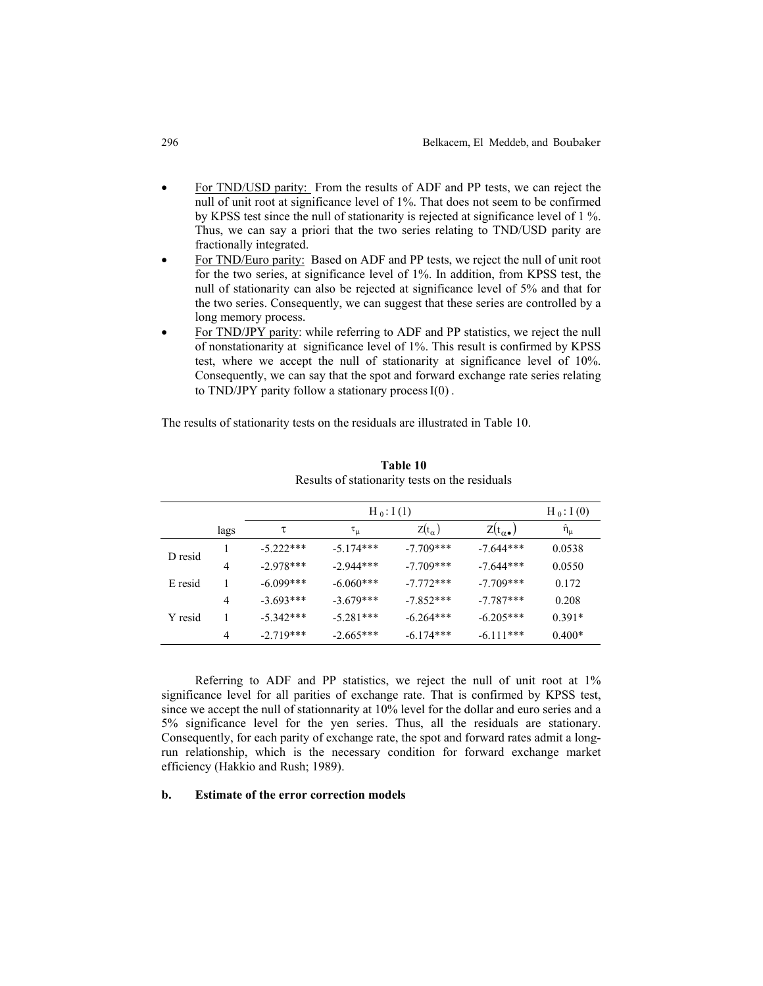- For TND/USD parity: From the results of ADF and PP tests, we can reject the null of unit root at significance level of 1%. That does not seem to be confirmed by KPSS test since the null of stationarity is rejected at significance level of 1 %. Thus, we can say a priori that the two series relating to TND/USD parity are fractionally integrated.
- For TND/Euro parity: Based on ADF and PP tests, we reject the null of unit root for the two series, at significance level of 1%. In addition, from KPSS test, the null of stationarity can also be rejected at significance level of 5% and that for the two series. Consequently, we can suggest that these series are controlled by a long memory process.
- For TND/JPY parity: while referring to ADF and PP statistics, we reject the null of nonstationarity at significance level of 1%. This result is confirmed by KPSS test, where we accept the null of stationarity at significance level of 10%. Consequently, we can say that the spot and forward exchange rate series relating to TND/JPY parity follow a stationary process  $I(0)$ .

The results of stationarity tests on the residuals are illustrated in Table 10.

|         |                |             | $H_0$ : I(1) |                 |                        |              |  |
|---------|----------------|-------------|--------------|-----------------|------------------------|--------------|--|
|         | lags           | τ           | $\tau_{\mu}$ | $Z(t_{\alpha})$ | $Z(t_{\alpha\bullet})$ | $\eta_{\mu}$ |  |
| D resid |                | $-5.222***$ | $-5.174***$  | $-7.709***$     | $-7.644***$            | 0.0538       |  |
|         | $\overline{4}$ | $-2.978***$ | $-2.944***$  | $-7.709***$     | $-7.644***$            | 0.0550       |  |
| E resid |                | $-6.099***$ | $-6.060***$  | $-7.772***$     | $-7.709***$            | 0.172        |  |
|         | $\overline{4}$ | $-3.693***$ | $-3.679***$  | $-7.852***$     | $-7.787***$            | 0.208        |  |
| Y resid |                | $-5.342***$ | $-5.281***$  | $-6.264***$     | $-6.205***$            | $0.391*$     |  |
|         | 4              | $-2.719***$ | $-2.665***$  | $-6.174***$     | $-6.111***$            | $0.400*$     |  |

**Table 10**  Results of stationarity tests on the residuals

Referring to ADF and PP statistics, we reject the null of unit root at 1% significance level for all parities of exchange rate. That is confirmed by KPSS test, since we accept the null of stationnarity at 10% level for the dollar and euro series and a 5% significance level for the yen series. Thus, all the residuals are stationary. Consequently, for each parity of exchange rate, the spot and forward rates admit a longrun relationship, which is the necessary condition for forward exchange market efficiency (Hakkio and Rush; 1989).

### **b. Estimate of the error correction models**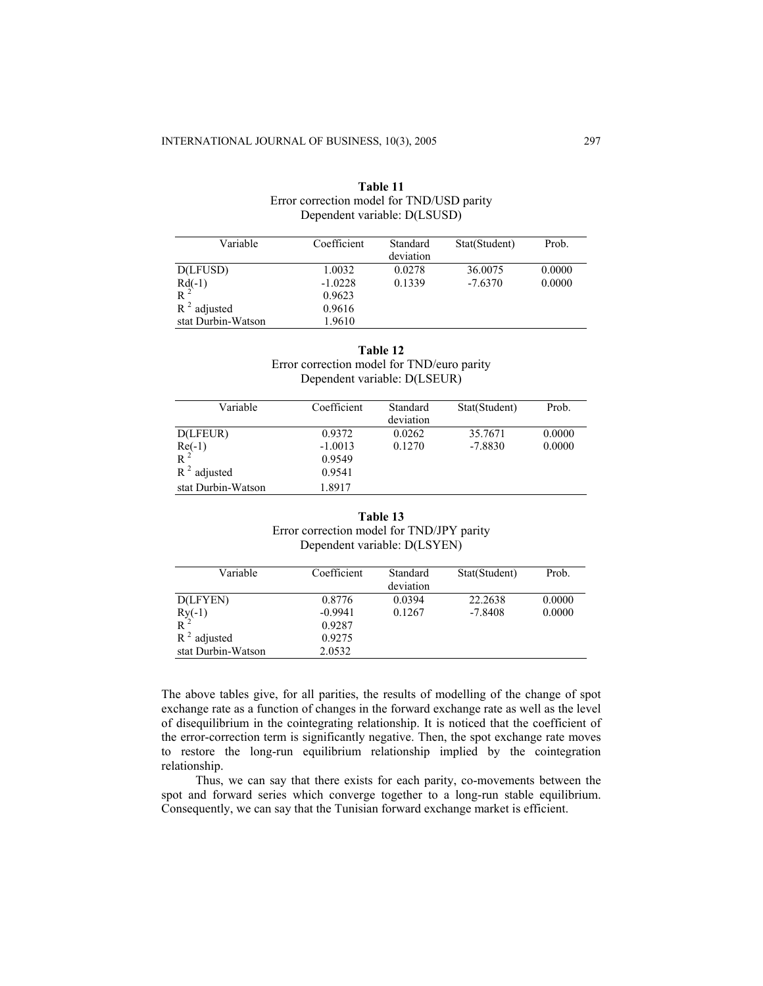| Variable           | Coefficient | Standard<br>deviation | Stat(Student) | Prob.  |
|--------------------|-------------|-----------------------|---------------|--------|
| D(LFUSD)           | 1.0032      | 0.0278                | 36.0075       | 0.0000 |
| $R_{R}^{d(-1)}$    | $-1.0228$   | 0.1339                | $-7.6370$     | 0.0000 |
|                    | 0.9623      |                       |               |        |
| $R^2$ adjusted     | 0.9616      |                       |               |        |
| stat Durbin-Watson | 1.9610      |                       |               |        |

# **Table 11**  Error correction model for TND/USD parity Dependent variable: D(LSUSD)

# **Table 12**  Error correction model for TND/euro parity Dependent variable: D(LSEUR)

| Variable                           | Coefficient | Standard  | Stat(Student) | Prob.  |
|------------------------------------|-------------|-----------|---------------|--------|
|                                    |             | deviation |               |        |
| D(LFEUR)                           | 0.9372      | 0.0262    | 35.7671       | 0.0000 |
| $\frac{\text{Re}(-1)}{\text{R}^2}$ | $-1.0013$   | 0.1270    | $-7.8830$     | 0.0000 |
|                                    | 0.9549      |           |               |        |
| $R^2$ adjusted                     | 0.9541      |           |               |        |
| stat Durbin-Watson                 | 1.8917      |           |               |        |

**Table 13**  Error correction model for TND/JPY parity Dependent variable: D(LSYEN)

| Variable           | Coefficient | Standard  | Stat(Student) | Prob.  |
|--------------------|-------------|-----------|---------------|--------|
|                    |             | deviation |               |        |
| D(LFYEN)           | 0.8776      | 0.0394    | 22.2638       | 0.0000 |
| $Ry(-1)$<br>$R^2$  | $-0.9941$   | 0.1267    | $-7.8408$     | 0.0000 |
|                    | 0.9287      |           |               |        |
| $R^2$ adjusted     | 0.9275      |           |               |        |
| stat Durbin-Watson | 2.0532      |           |               |        |

The above tables give, for all parities, the results of modelling of the change of spot exchange rate as a function of changes in the forward exchange rate as well as the level of disequilibrium in the cointegrating relationship. It is noticed that the coefficient of the error-correction term is significantly negative. Then, the spot exchange rate moves to restore the long-run equilibrium relationship implied by the cointegration relationship.

Thus, we can say that there exists for each parity, co-movements between the spot and forward series which converge together to a long-run stable equilibrium. Consequently, we can say that the Tunisian forward exchange market is efficient.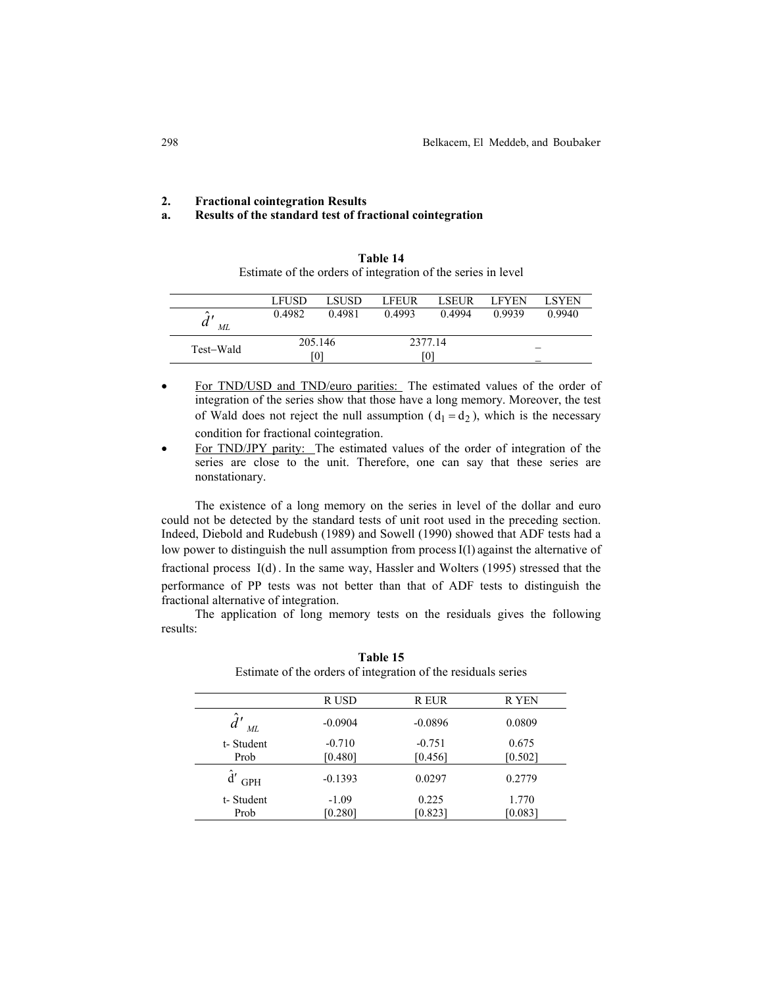#### **2. Fractional cointegration Results**

# **a. Results of the standard test of fractional cointegration**

**Table 14**  Estimate of the orders of integration of the series in level

|                             | <b>LEUSD</b> | <b>LSUSD</b> | <b>LFEUR</b> | <b>LSEUR</b> | <b>LFYEN</b> | <b>LSYEN</b> |
|-----------------------------|--------------|--------------|--------------|--------------|--------------|--------------|
| $\sim$<br>и<br>МL           | 0.4982       | 0.4981       | 0.4993       | 04994        | 0.9939       | 0.9940       |
| 205.146<br>Test-Wald<br>[0] |              | 2377.14      | [0]          |              | -            |              |
|                             |              |              |              |              |              |              |

- For TND/USD and TND/euro parities: The estimated values of the order of integration of the series show that those have a long memory. Moreover, the test of Wald does not reject the null assumption  $(d_1 = d_2)$ , which is the necessary condition for fractional cointegration.
- For TND/JPY parity: The estimated values of the order of integration of the series are close to the unit. Therefore, one can say that these series are nonstationary.

The existence of a long memory on the series in level of the dollar and euro could not be detected by the standard tests of unit root used in the preceding section. Indeed, Diebold and Rudebush (1989) and Sowell (1990) showed that ADF tests had a low power to distinguish the null assumption from process  $I(1)$  against the alternative of fractional process  $I(d)$ . In the same way, Hassler and Wolters (1995) stressed that the performance of PP tests was not better than that of ADF tests to distinguish the fractional alternative of integration.

The application of long memory tests on the residuals gives the following results:

|                          | R USD     | R EUR     | R YEN   |
|--------------------------|-----------|-----------|---------|
| Ĵ<br>MI.                 | $-0.0904$ | $-0.0896$ | 0.0809  |
| t-Student                | $-0.710$  | $-0.751$  | 0.675   |
| Prob                     | [0.480]   | [0.456]   | [0.502] |
| $\hat{d}'$<br><b>GPH</b> | $-0.1393$ | 0.0297    | 0.2779  |
| t-Student                | $-1.09$   | 0.225     | 1.770   |
| Prob                     | [0.280]   | [0.823]   | [0.083] |

**Table 15**  Estimate of the orders of integration of the residuals series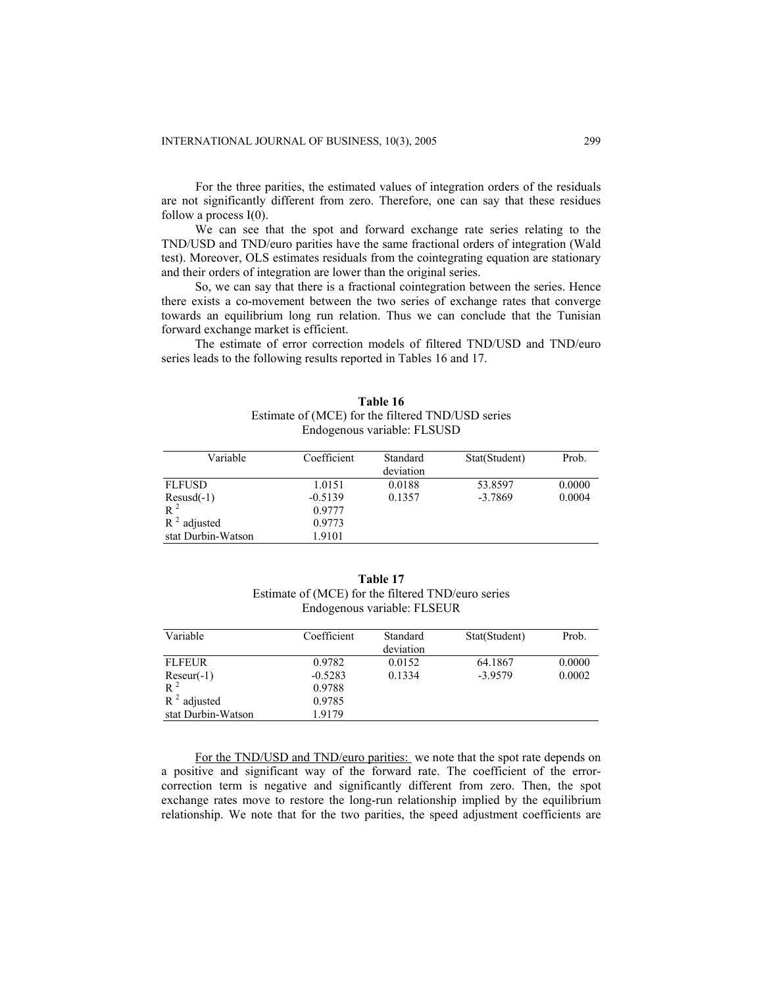For the three parities, the estimated values of integration orders of the residuals are not significantly different from zero. Therefore, one can say that these residues follow a process  $I(0)$ .

We can see that the spot and forward exchange rate series relating to the TND/USD and TND/euro parities have the same fractional orders of integration (Wald test). Moreover, OLS estimates residuals from the cointegrating equation are stationary and their orders of integration are lower than the original series.

So, we can say that there is a fractional cointegration between the series. Hence there exists a co-movement between the two series of exchange rates that converge towards an equilibrium long run relation. Thus we can conclude that the Tunisian forward exchange market is efficient.

The estimate of error correction models of filtered TND/USD and TND/euro series leads to the following results reported in Tables 16 and 17.

**Table 16**  Estimate of (MCE) for the filtered TND/USD series Endogenous variable: FLSUSD

| Variable           | Coefficient | Standard<br>deviation | Stat(Student) | Prob.  |
|--------------------|-------------|-----------------------|---------------|--------|
| <b>FLFUSD</b>      | 1.0151      | 0.0188                | 53.8597       | 0.0000 |
| $Resusd(-1)$       | $-0.5139$   | 0.1357                | $-3.7869$     | 0.0004 |
| $R^2$              | 0.9777      |                       |               |        |
| $R^2$ adjusted     | 0.9773      |                       |               |        |
| stat Durbin-Watson | 1.9101      |                       |               |        |

**Table 17**  Estimate of (MCE) for the filtered TND/euro series Endogenous variable: FLSEUR

| Variable           | Coefficient | Standard  | Stat(Student) | Prob.  |
|--------------------|-------------|-----------|---------------|--------|
|                    |             | deviation |               |        |
| <b>FLFEUR</b>      | 0.9782      | 0.0152    | 64.1867       | 0.0000 |
| $Reseur(-1)$       | $-0.5283$   | 0.1334    | $-3.9579$     | 0.0002 |
| $R^2$              | 0.9788      |           |               |        |
| $R^2$ adjusted     | 0.9785      |           |               |        |
| stat Durbin-Watson | 1.9179      |           |               |        |

For the TND/USD and TND/euro parities: we note that the spot rate depends on a positive and significant way of the forward rate. The coefficient of the errorcorrection term is negative and significantly different from zero. Then, the spot exchange rates move to restore the long-run relationship implied by the equilibrium relationship. We note that for the two parities, the speed adjustment coefficients are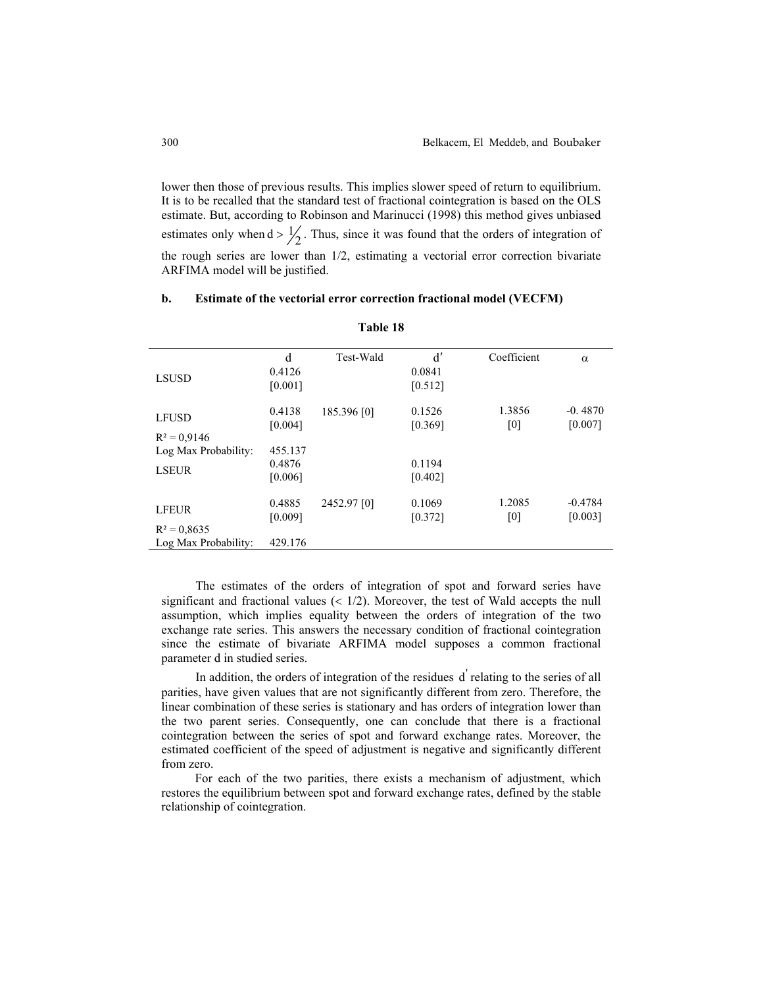lower then those of previous results. This implies slower speed of return to equilibrium. It is to be recalled that the standard test of fractional cointegration is based on the OLS estimate. But, according to Robinson and Marinucci (1998) this method gives unbiased estimates only when  $d > \frac{1}{2}$ . Thus, since it was found that the orders of integration of the rough series are lower than 1/2, estimating a vectorial error correction bivariate ARFIMA model will be justified.

**Table 18** 

|                      | d       | Test-Wald   | d'      | Coefficient | $\alpha$  |
|----------------------|---------|-------------|---------|-------------|-----------|
| <b>LSUSD</b>         | 0.4126  |             | 0.0841  |             |           |
|                      | [0.001] |             | [0.512] |             |           |
| <b>LFUSD</b>         | 0.4138  | 185.396 [0] | 0.1526  | 1.3856      | $-0.4870$ |
|                      | [0.004] |             | [0.369] | [0]         | [0.007]   |
| $R^2 = 0.9146$       |         |             |         |             |           |
| Log Max Probability: | 455.137 |             |         |             |           |
| <b>LSEUR</b>         | 0.4876  |             | 0.1194  |             |           |
|                      | [0.006] |             | [0.402] |             |           |
| <b>LFEUR</b>         | 0.4885  | 2452.97 [0] | 0.1069  | 1.2085      | $-0.4784$ |
|                      | [0.009] |             | [0.372] | [0]         | [0.003]   |
| $R^2 = 0.8635$       |         |             |         |             |           |
| Log Max Probability: | 429.176 |             |         |             |           |

#### **b. Estimate of the vectorial error correction fractional model (VECFM)**

The estimates of the orders of integration of spot and forward series have significant and fractional values  $\left($  < 1/2). Moreover, the test of Wald accepts the null assumption, which implies equality between the orders of integration of the two exchange rate series. This answers the necessary condition of fractional cointegration since the estimate of bivariate ARFIMA model supposes a common fractional parameter d in studied series.

In addition, the orders of integration of the residues  $d'$  relating to the series of all parities, have given values that are not significantly different from zero. Therefore, the linear combination of these series is stationary and has orders of integration lower than the two parent series. Consequently, one can conclude that there is a fractional cointegration between the series of spot and forward exchange rates. Moreover, the estimated coefficient of the speed of adjustment is negative and significantly different from zero.

For each of the two parities, there exists a mechanism of adjustment, which restores the equilibrium between spot and forward exchange rates, defined by the stable relationship of cointegration.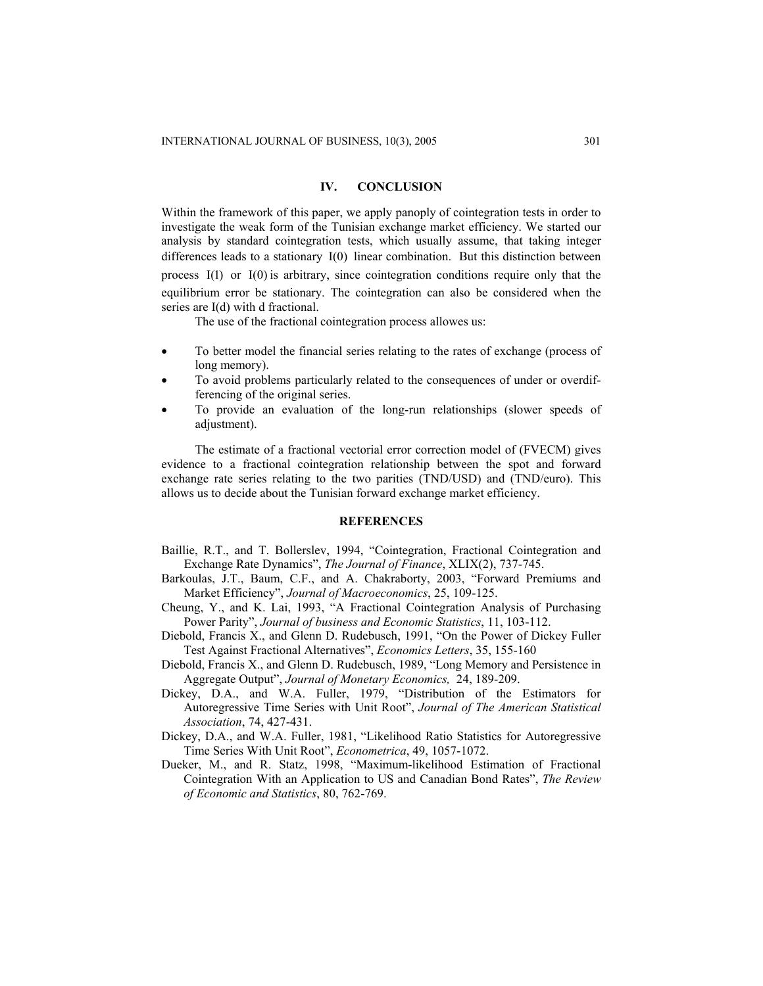# **IV. CONCLUSION**

Within the framework of this paper, we apply panoply of cointegration tests in order to investigate the weak form of the Tunisian exchange market efficiency. We started our analysis by standard cointegration tests, which usually assume, that taking integer differences leads to a stationary  $I(0)$  linear combination. But this distinction between process  $I(1)$  or  $I(0)$  is arbitrary, since cointegration conditions require only that the equilibrium error be stationary. The cointegration can also be considered when the series are I(d) with d fractional.

The use of the fractional cointegration process allowes us:

- To better model the financial series relating to the rates of exchange (process of long memory).
- To avoid problems particularly related to the consequences of under or overdifferencing of the original series.
- To provide an evaluation of the long-run relationships (slower speeds of adjustment).

The estimate of a fractional vectorial error correction model of (FVECM) gives evidence to a fractional cointegration relationship between the spot and forward exchange rate series relating to the two parities (TND/USD) and (TND/euro). This allows us to decide about the Tunisian forward exchange market efficiency.

# **REFERENCES**

- Baillie, R.T., and T. Bollerslev, 1994, "Cointegration, Fractional Cointegration and Exchange Rate Dynamics", *The Journal of Finance*, XLIX(2), 737-745.
- Barkoulas, J.T., Baum, C.F., and A. Chakraborty, 2003, "Forward Premiums and Market Efficiency", *Journal of Macroeconomics*, 25, 109-125.
- Cheung, Y., and K. Lai, 1993, "A Fractional Cointegration Analysis of Purchasing Power Parity", *Journal of business and Economic Statistics*, 11, 103-112.
- Diebold, Francis X., and Glenn D. Rudebusch, 1991, "On the Power of Dickey Fuller Test Against Fractional Alternatives", *Economics Letters*, 35, 155-160
- Diebold, Francis X., and Glenn D. Rudebusch, 1989, "Long Memory and Persistence in Aggregate Output", *Journal of Monetary Economics,* 24, 189-209.
- Dickey, D.A., and W.A. Fuller, 1979, "Distribution of the Estimators for Autoregressive Time Series with Unit Root", *Journal of The American Statistical Association*, 74, 427-431.
- Dickey, D.A., and W.A. Fuller, 1981, "Likelihood Ratio Statistics for Autoregressive Time Series With Unit Root", *Econometrica*, 49, 1057-1072.
- Dueker, M., and R. Statz, 1998, "Maximum-likelihood Estimation of Fractional Cointegration With an Application to US and Canadian Bond Rates", *The Review of Economic and Statistics*, 80, 762-769.